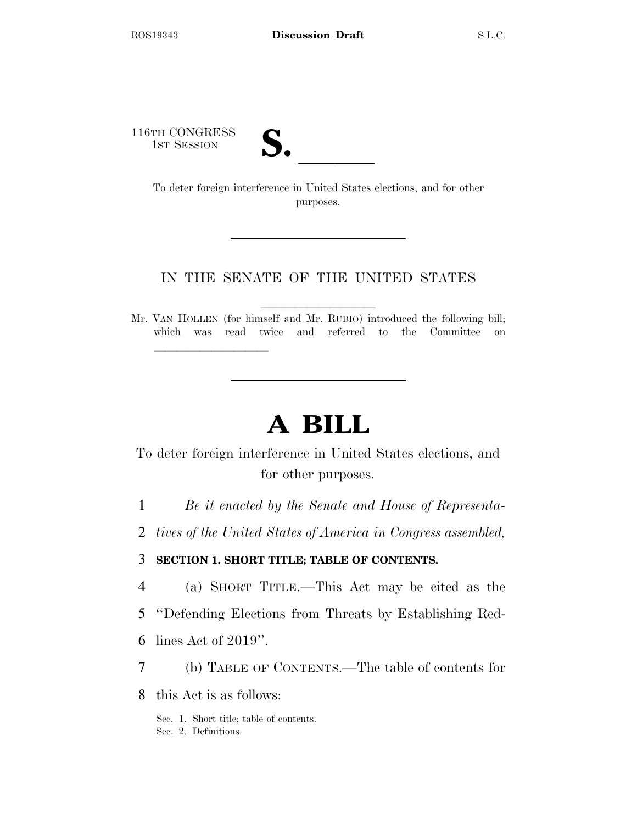116TH CONGRESS

TH CONGRESS<br>
1st Session<br>
To deter foreign interference in United States elections, and for other purposes.

## IN THE SENATE OF THE UNITED STATES

Mr. VAN HOLLEN (for himself and Mr. RUBIO) introduced the following bill; which was read twice and referred to the Committee on

# **A BILL**

To deter foreign interference in United States elections, and for other purposes.

1 *Be it enacted by the Senate and House of Representa-*

2 *tives of the United States of America in Congress assembled,* 

### 3 **SECTION 1. SHORT TITLE; TABLE OF CONTENTS.**

- 4 (a) SHORT TITLE.—This Act may be cited as the
- 5 ''Defending Elections from Threats by Establishing Red-
- 6 lines Act of 2019''.

lle and a second control of the second control of the second control of the second control of the second control of the second control of the second control of the second control of the second control of the second control

- 7 (b) TABLE OF CONTENTS.—The table of contents for
- 8 this Act is as follows:

Sec. 1. Short title; table of contents. Sec. 2. Definitions.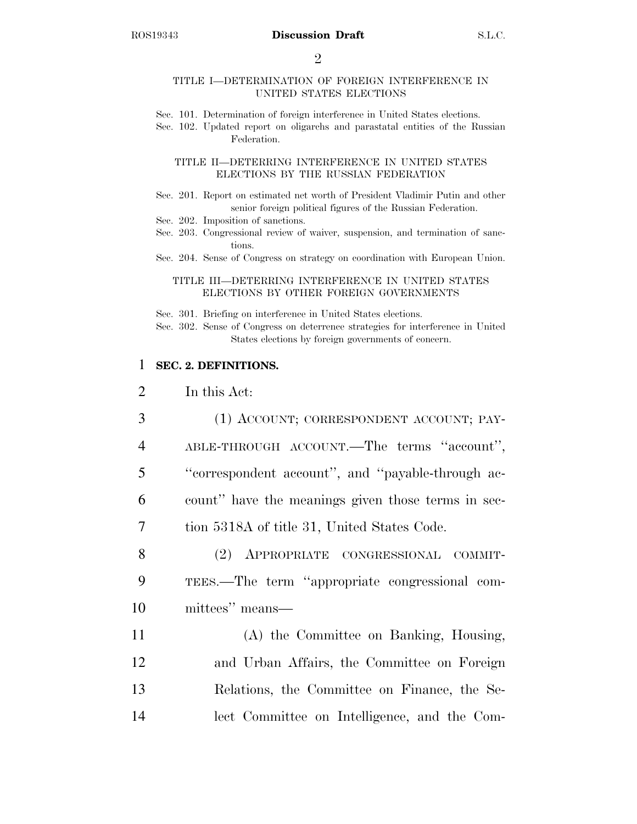$\mathfrak{D}$ 

### TITLE I—DETERMINATION OF FOREIGN INTERFERENCE IN UNITED STATES ELECTIONS

- Sec. 101. Determination of foreign interference in United States elections.
- Sec. 102. Updated report on oligarchs and parastatal entities of the Russian Federation.

#### TITLE II—DETERRING INTERFERENCE IN UNITED STATES ELECTIONS BY THE RUSSIAN FEDERATION

- Sec. 201. Report on estimated net worth of President Vladimir Putin and other senior foreign political figures of the Russian Federation.
- Sec. 202. Imposition of sanctions.
- Sec. 203. Congressional review of waiver, suspension, and termination of sanctions.
- Sec. 204. Sense of Congress on strategy on coordination with European Union.

### TITLE III—DETERRING INTERFERENCE IN UNITED STATES ELECTIONS BY OTHER FOREIGN GOVERNMENTS

Sec. 301. Briefing on interference in United States elections.

Sec. 302. Sense of Congress on deterrence strategies for interference in United States elections by foreign governments of concern.

### 1 **SEC. 2. DEFINITIONS.**

2 In this Act:

- 3 (1) ACCOUNT; CORRESPONDENT ACCOUNT; PAY-4 ABLE-THROUGH ACCOUNT.—The terms ''account'', 5 ''correspondent account'', and ''payable-through ac-6 count'' have the meanings given those terms in sec-7 tion 5318A of title 31, United States Code. 8 (2) APPROPRIATE CONGRESSIONAL COMMIT-9 TEES.—The term ''appropriate congressional com-10 mittees'' means— 11 (A) the Committee on Banking, Housing, 12 and Urban Affairs, the Committee on Foreign
- 13 Relations, the Committee on Finance, the Se-14 lect Committee on Intelligence, and the Com-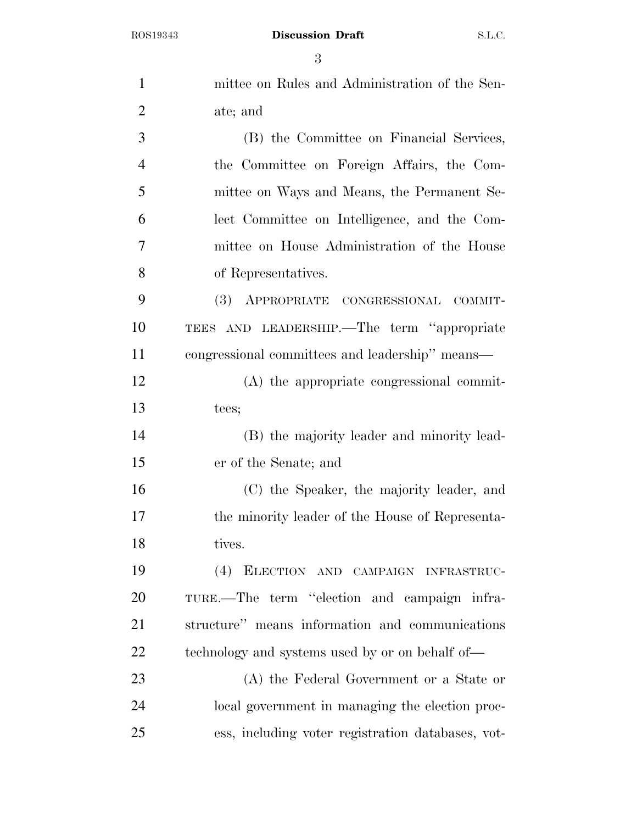| $\mathbf{1}$   | mittee on Rules and Administration of the Sen-    |
|----------------|---------------------------------------------------|
| $\overline{2}$ | ate; and                                          |
| 3              | (B) the Committee on Financial Services,          |
| $\overline{4}$ | the Committee on Foreign Affairs, the Com-        |
| 5              | mittee on Ways and Means, the Permanent Se-       |
| 6              | lect Committee on Intelligence, and the Com-      |
| 7              | mittee on House Administration of the House       |
| 8              | of Representatives.                               |
| 9              | (3) APPROPRIATE CONGRESSIONAL<br>COMMIT-          |
| 10             | TEES AND LEADERSHIP.—The term "appropriate        |
| 11             | congressional committees and leadership" means-   |
| 12             | (A) the appropriate congressional commit-         |
| 13             | tees;                                             |
| 14             | (B) the majority leader and minority lead-        |
| 15             | er of the Senate; and                             |
| 16             | (C) the Speaker, the majority leader, and         |
| 17             | the minority leader of the House of Representa-   |
| 18             | tives.                                            |
| 19             | (4) ELECTION AND CAMPAIGN INFRASTRUC-             |
| 20             | TURE.—The term "election and campaign infra-      |
| 21             | structure" means information and communications   |
| 22             | technology and systems used by or on behalf of—   |
| 23             | (A) the Federal Government or a State or          |
| 24             | local government in managing the election proc-   |
| 25             | ess, including voter registration databases, vot- |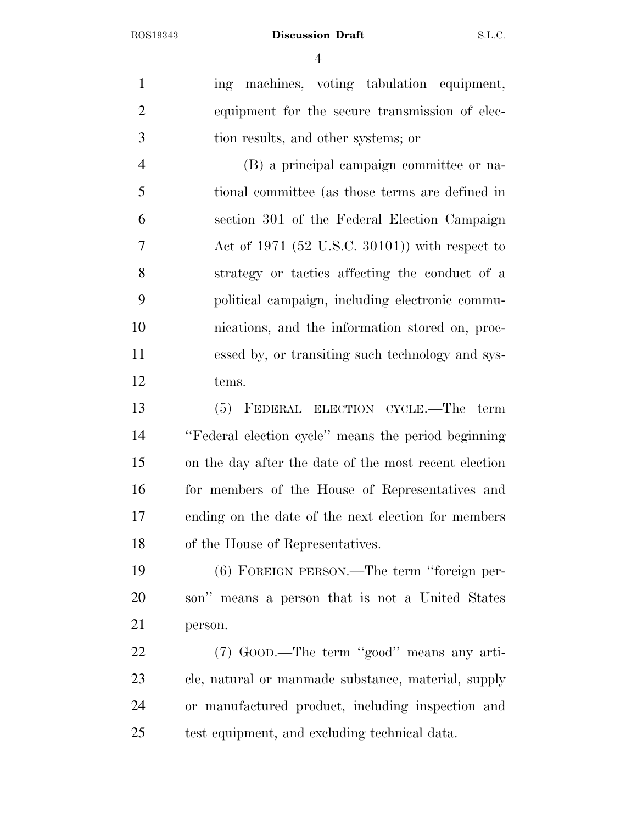1 ing machines, voting tabulation equipment, equipment for the secure transmission of elec- tion results, and other systems; or (B) a principal campaign committee or na-

 tional committee (as those terms are defined in section 301 of the Federal Election Campaign Act of 1971 (52 U.S.C. 30101)) with respect to strategy or tactics affecting the conduct of a political campaign, including electronic commu- nications, and the information stored on, proc- essed by, or transiting such technology and sys-tems.

 (5) FEDERAL ELECTION CYCLE.—The term ''Federal election cycle'' means the period beginning on the day after the date of the most recent election for members of the House of Representatives and ending on the date of the next election for members of the House of Representatives.

 (6) FOREIGN PERSON.—The term ''foreign per- son'' means a person that is not a United States person.

 (7) GOOD.—The term ''good'' means any arti- cle, natural or manmade substance, material, supply or manufactured product, including inspection and test equipment, and excluding technical data.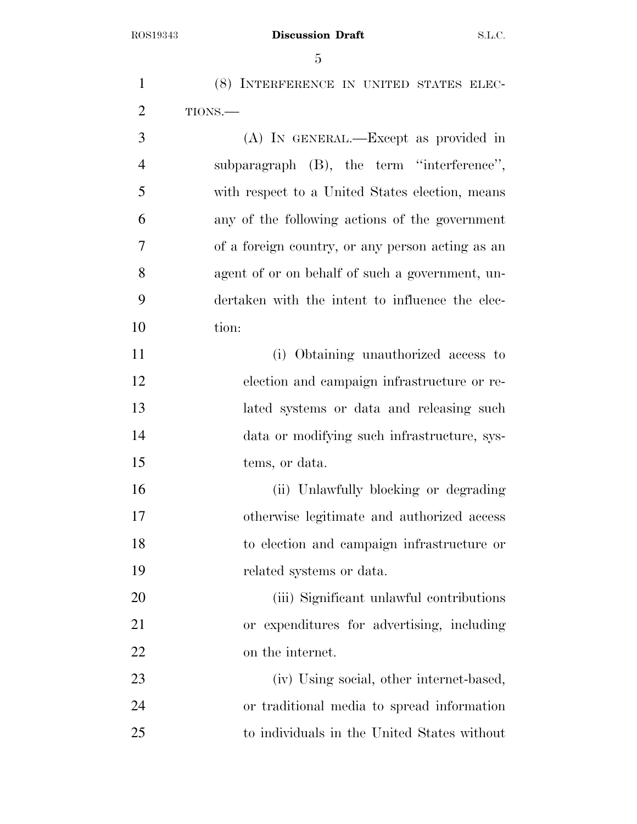(8) INTERFERENCE IN UNITED STATES ELEC- TIONS.— (A) IN GENERAL.—Except as provided in

 subparagraph (B), the term ''interference'', with respect to a United States election, means any of the following actions of the government of a foreign country, or any person acting as an agent of or on behalf of such a government, un- dertaken with the intent to influence the elec-tion:

 (i) Obtaining unauthorized access to election and campaign infrastructure or re- lated systems or data and releasing such data or modifying such infrastructure, sys-tems, or data.

 (ii) Unlawfully blocking or degrading otherwise legitimate and authorized access to election and campaign infrastructure or related systems or data.

 (iii) Significant unlawful contributions or expenditures for advertising, including on the internet.

 (iv) Using social, other internet-based, or traditional media to spread information to individuals in the United States without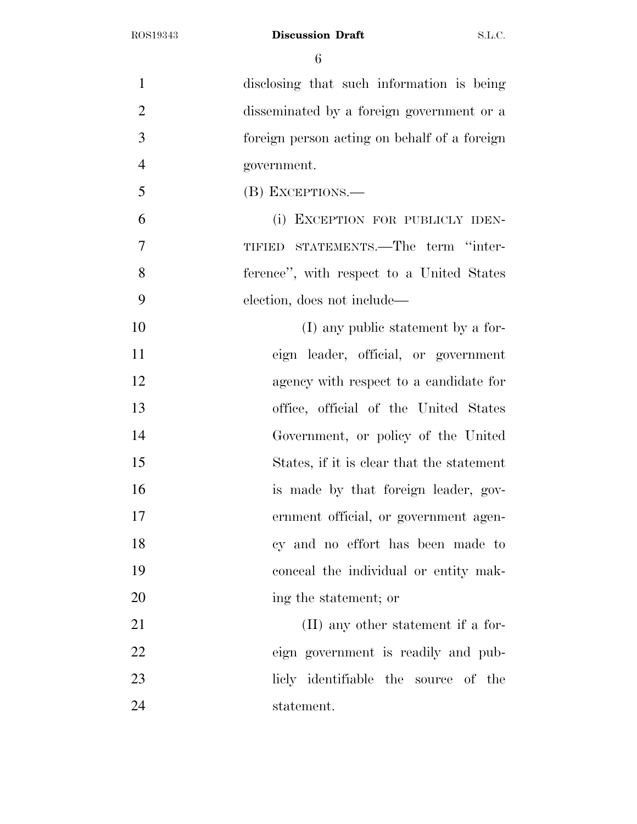disclosing that such information is being disseminated by a foreign government or a foreign person acting on behalf of a foreign government. (B) EXCEPTIONS.— (i) EXCEPTION FOR PUBLICLY IDEN- TIFIED STATEMENTS.—The term ''inter- ference'', with respect to a United States election, does not include— 10 (I) any public statement by a for- eign leader, official, or government agency with respect to a candidate for office, official of the United States Government, or policy of the United States, if it is clear that the statement is made by that foreign leader, gov- ernment official, or government agen- cy and no effort has been made to conceal the individual or entity mak-20 ing the statement; or 21 (II) any other statement if a for- eign government is readily and pub- licly identifiable the source of the statement.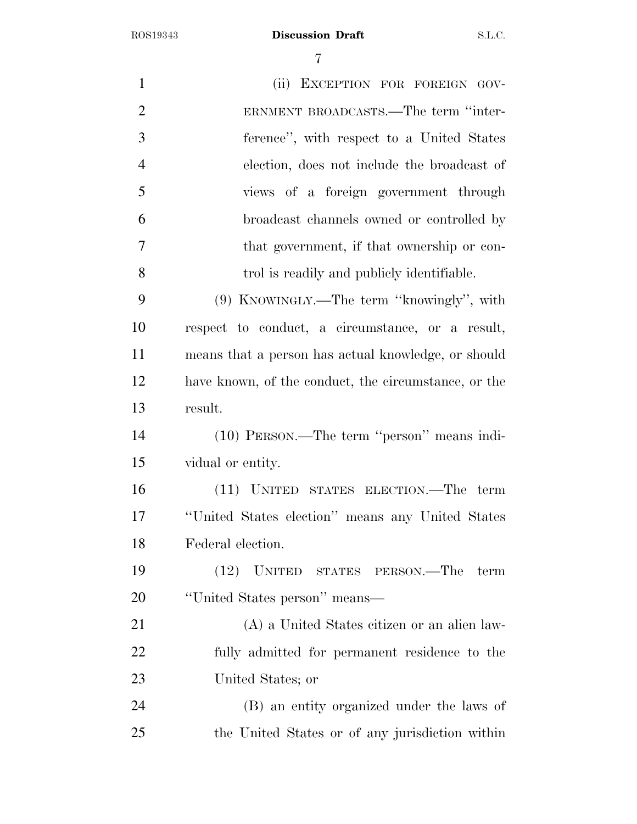| $\mathbf{1}$   | (ii) EXCEPTION FOR FOREIGN GOV-                      |
|----------------|------------------------------------------------------|
| $\overline{2}$ | ERNMENT BROADCASTS.—The term "inter-                 |
| 3              | ference", with respect to a United States            |
| $\overline{4}$ | election, does not include the broadcast of          |
| 5              | views of a foreign government through                |
| 6              | broadcast channels owned or controlled by            |
| $\overline{7}$ | that government, if that ownership or con-           |
| 8              | trol is readily and publicly identifiable.           |
| 9              | (9) KNOWINGLY.—The term "knowingly", with            |
| 10             | respect to conduct, a circumstance, or a result,     |
| 11             | means that a person has actual knowledge, or should  |
| 12             | have known, of the conduct, the circumstance, or the |
| 13             | result.                                              |
| 14             | (10) PERSON.—The term "person" means indi-           |
| 15             | vidual or entity.                                    |
| 16             | (11) UNITED STATES ELECTION.—The term                |
| 17             | "United States election" means any United States     |
| 18             | Federal election.                                    |
| 19             | UNITED STATES PERSON.—The term<br>(12)               |
| 20             | "United States person" means—                        |
| 21             | (A) a United States citizen or an alien law-         |
| 22             | fully admitted for permanent residence to the        |
| 23             | United States; or                                    |
| 24             | (B) an entity organized under the laws of            |
| 25             | the United States or of any jurisdiction within      |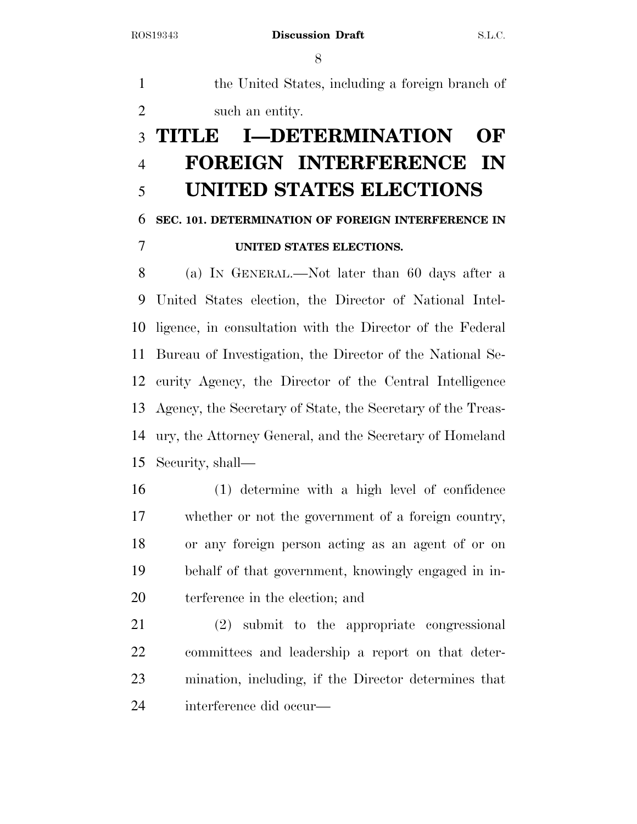the United States, including a foreign branch of such an entity.

## **TITLE I—DETERMINATION OF FOREIGN INTERFERENCE IN UNITED STATES ELECTIONS**

## **SEC. 101. DETERMINATION OF FOREIGN INTERFERENCE IN**

## **UNITED STATES ELECTIONS.**

 (a) IN GENERAL.—Not later than 60 days after a United States election, the Director of National Intel- ligence, in consultation with the Director of the Federal Bureau of Investigation, the Director of the National Se- curity Agency, the Director of the Central Intelligence Agency, the Secretary of State, the Secretary of the Treas- ury, the Attorney General, and the Secretary of Homeland Security, shall—

 (1) determine with a high level of confidence whether or not the government of a foreign country, or any foreign person acting as an agent of or on behalf of that government, knowingly engaged in in-terference in the election; and

 (2) submit to the appropriate congressional committees and leadership a report on that deter- mination, including, if the Director determines that interference did occur—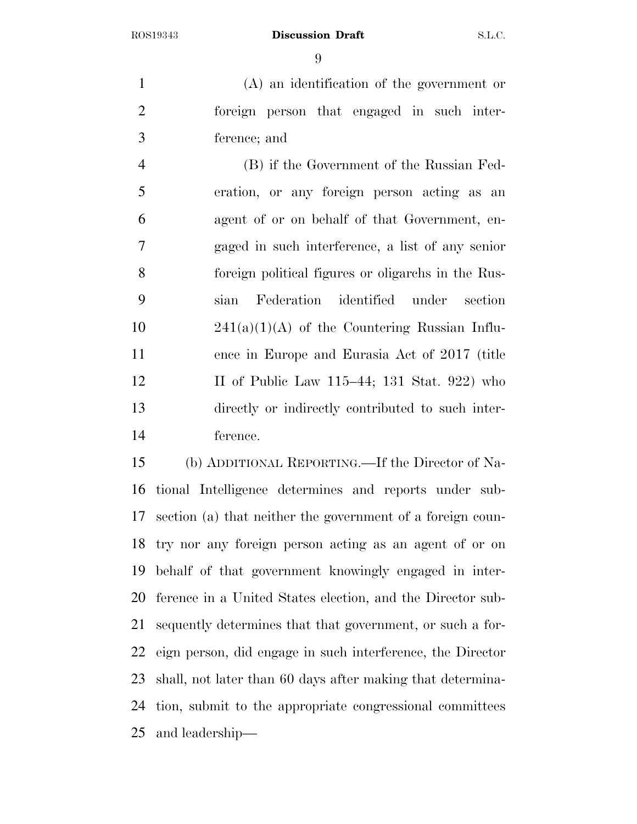(A) an identification of the government or foreign person that engaged in such inter-ference; and

 (B) if the Government of the Russian Fed- eration, or any foreign person acting as an agent of or on behalf of that Government, en- gaged in such interference, a list of any senior foreign political figures or oligarchs in the Rus- sian Federation identified under section  $241(a)(1)(A)$  of the Countering Russian Influ- ence in Europe and Eurasia Act of 2017 (title 12 II of Public Law 115–44; 131 Stat. 922) who directly or indirectly contributed to such inter-ference.

 (b) ADDITIONAL REPORTING.—If the Director of Na- tional Intelligence determines and reports under sub- section (a) that neither the government of a foreign coun- try nor any foreign person acting as an agent of or on behalf of that government knowingly engaged in inter- ference in a United States election, and the Director sub- sequently determines that that government, or such a for- eign person, did engage in such interference, the Director shall, not later than 60 days after making that determina- tion, submit to the appropriate congressional committees and leadership—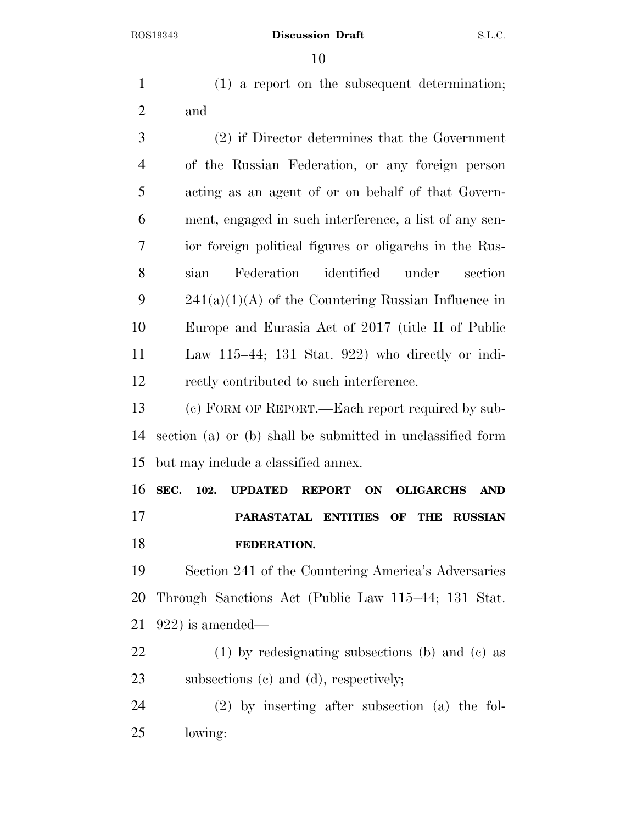(1) a report on the subsequent determination; and (2) if Director determines that the Government of the Russian Federation, or any foreign person acting as an agent of or on behalf of that Govern- ment, engaged in such interference, a list of any sen- ior foreign political figures or oligarchs in the Rus- sian Federation identified under section 241(a)(1)(A) of the Countering Russian Influence in Europe and Eurasia Act of 2017 (title II of Public Law 115–44; 131 Stat. 922) who directly or indi-

rectly contributed to such interference.

 (c) FORM OF REPORT.—Each report required by sub- section (a) or (b) shall be submitted in unclassified form but may include a classified annex.

 **SEC. 102. UPDATED REPORT ON OLIGARCHS AND PARASTATAL ENTITIES OF THE RUSSIAN FEDERATION.** 

 Section 241 of the Countering America's Adversaries Through Sanctions Act (Public Law 115–44; 131 Stat. 922) is amended—

 (1) by redesignating subsections (b) and (c) as subsections (c) and (d), respectively;

 (2) by inserting after subsection (a) the fol-lowing: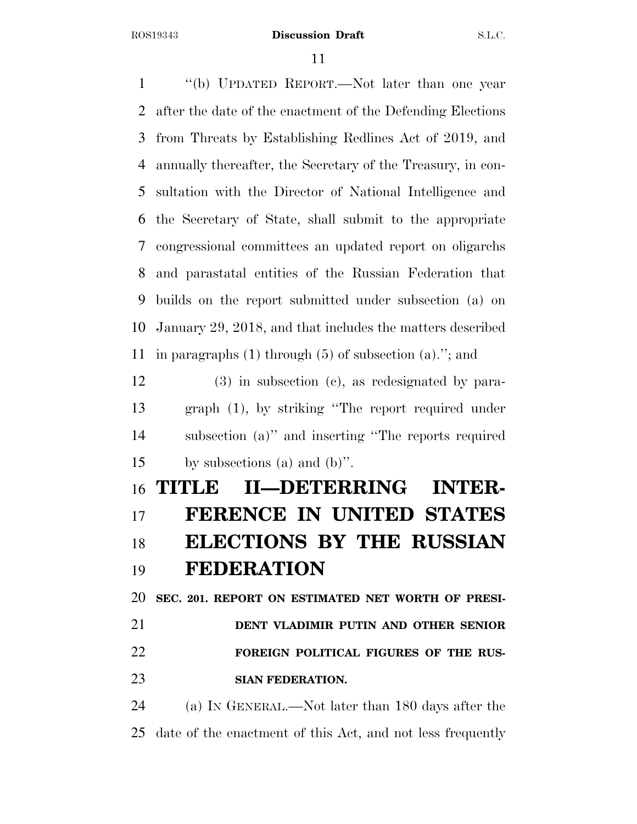''(b) UPDATED REPORT.—Not later than one year after the date of the enactment of the Defending Elections from Threats by Establishing Redlines Act of 2019, and annually thereafter, the Secretary of the Treasury, in con- sultation with the Director of National Intelligence and the Secretary of State, shall submit to the appropriate congressional committees an updated report on oligarchs and parastatal entities of the Russian Federation that builds on the report submitted under subsection (a) on January 29, 2018, and that includes the matters described in paragraphs (1) through (5) of subsection (a).''; and (3) in subsection (c), as redesignated by para- graph (1), by striking ''The report required under subsection (a)'' and inserting ''The reports required by subsections (a) and (b)''.

## **TITLE II—DETERRING INTER- FERENCE IN UNITED STATES ELECTIONS BY THE RUSSIAN FEDERATION**

 **SEC. 201. REPORT ON ESTIMATED NET WORTH OF PRESI- DENT VLADIMIR PUTIN AND OTHER SENIOR FOREIGN POLITICAL FIGURES OF THE RUS-SIAN FEDERATION.** 

 (a) IN GENERAL.—Not later than 180 days after the date of the enactment of this Act, and not less frequently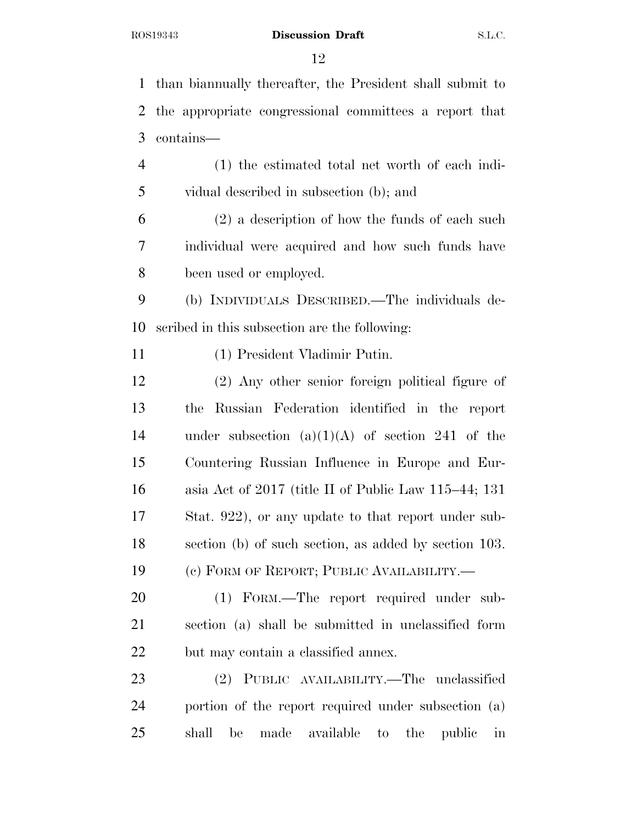than biannually thereafter, the President shall submit to the appropriate congressional committees a report that contains— (1) the estimated total net worth of each indi- vidual described in subsection (b); and (2) a description of how the funds of each such individual were acquired and how such funds have been used or employed. (b) INDIVIDUALS DESCRIBED.—The individuals de- scribed in this subsection are the following: (1) President Vladimir Putin. (2) Any other senior foreign political figure of the Russian Federation identified in the report 14 under subsection  $(a)(1)(A)$  of section 241 of the Countering Russian Influence in Europe and Eur- asia Act of 2017 (title II of Public Law 115–44; 131 Stat. 922), or any update to that report under sub- section (b) of such section, as added by section 103. (c) FORM OF REPORT; PUBLIC AVAILABILITY.— (1) FORM.—The report required under sub- section (a) shall be submitted in unclassified form but may contain a classified annex. (2) PUBLIC AVAILABILITY.—The unclassified portion of the report required under subsection (a) shall be made available to the public in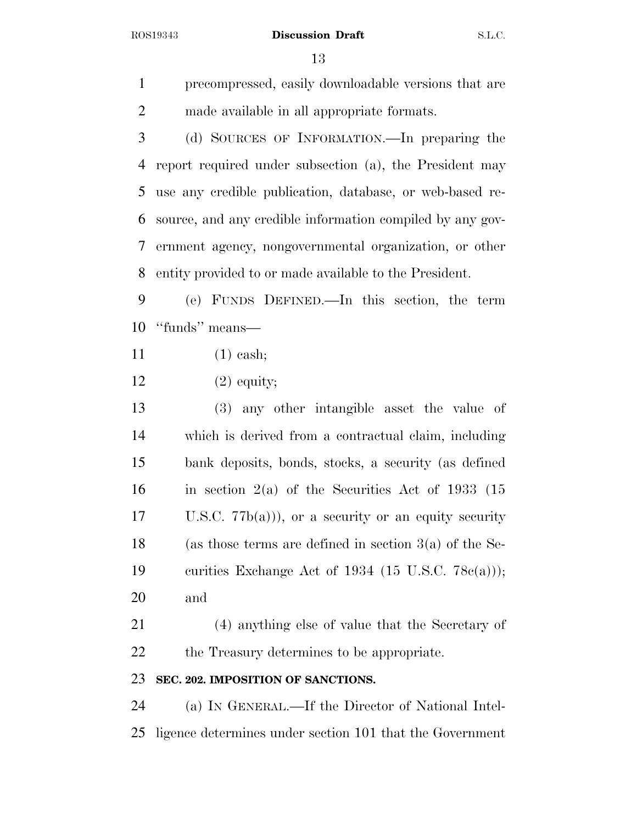precompressed, easily downloadable versions that are made available in all appropriate formats.

 (d) SOURCES OF INFORMATION.—In preparing the report required under subsection (a), the President may use any credible publication, database, or web-based re- source, and any credible information compiled by any gov- ernment agency, nongovernmental organization, or other entity provided to or made available to the President.

 (e) FUNDS DEFINED.—In this section, the term ''funds'' means—

- (1) cash;
- (2) equity;
- (3) any other intangible asset the value of which is derived from a contractual claim, including bank deposits, bonds, stocks, a security (as defined 16 in section  $2(a)$  of the Securities Act of 1933 (15 U.S.C. 77b(a))), or a security or an equity security (as those terms are defined in section 3(a) of the Se- curities Exchange Act of 1934 (15 U.S.C. 78c(a))); and

 (4) anything else of value that the Secretary of 22 the Treasury determines to be appropriate.

### **SEC. 202. IMPOSITION OF SANCTIONS.**

 (a) IN GENERAL.—If the Director of National Intel-ligence determines under section 101 that the Government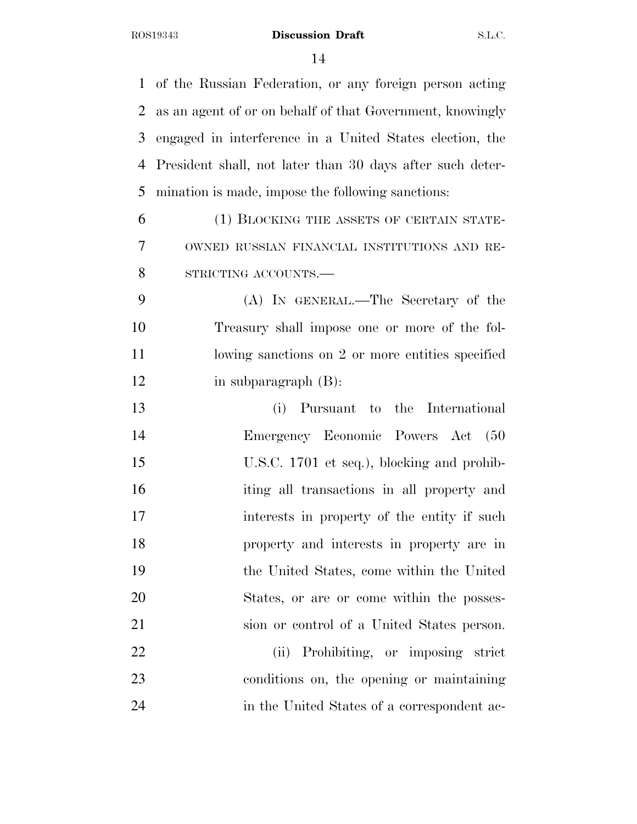of the Russian Federation, or any foreign person acting as an agent of or on behalf of that Government, knowingly engaged in interference in a United States election, the President shall, not later than 30 days after such deter- mination is made, impose the following sanctions: (1) BLOCKING THE ASSETS OF CERTAIN STATE- OWNED RUSSIAN FINANCIAL INSTITUTIONS AND RE- STRICTING ACCOUNTS.— (A) IN GENERAL.—The Secretary of the Treasury shall impose one or more of the fol-11 lowing sanctions on 2 or more entities specified in subparagraph (B): (i) Pursuant to the International Emergency Economic Powers Act (50 U.S.C. 1701 et seq.), blocking and prohib- iting all transactions in all property and 17 interests in property of the entity if such property and interests in property are in the United States, come within the United States, or are or come within the posses- sion or control of a United States person. (ii) Prohibiting, or imposing strict conditions on, the opening or maintaining in the United States of a correspondent ac-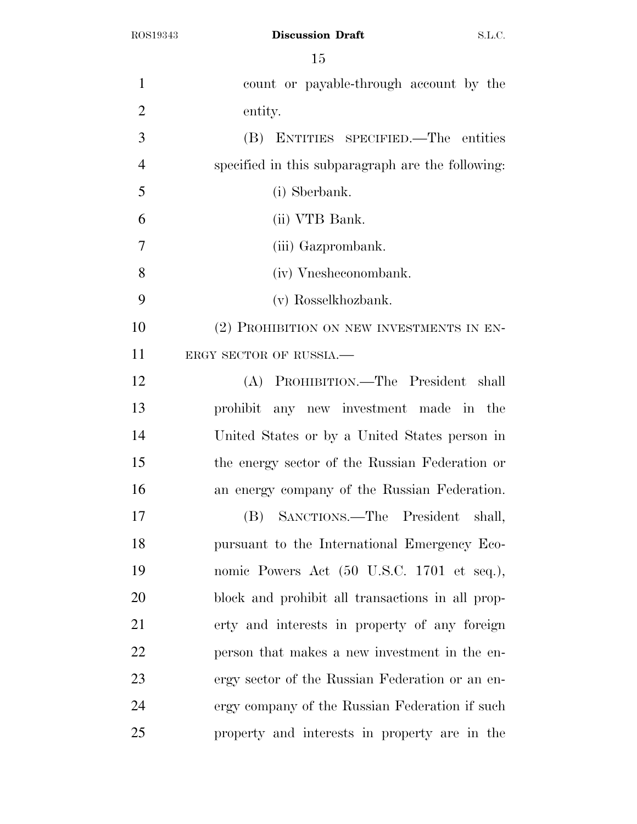ROS19343 **Discussion Draft** S.L.C.

| $\mathbf{1}$   | count or payable-through account by the           |
|----------------|---------------------------------------------------|
| $\overline{2}$ | entity.                                           |
| 3              | (B) ENTITIES SPECIFIED.—The entities              |
| $\overline{4}$ | specified in this subparagraph are the following: |
| 5              | (i) Sberbank.                                     |
| 6              | (ii) VTB Bank.                                    |
| 7              | (iii) Gazprombank.                                |
| 8              | (iv) Vnesheconombank.                             |
| 9              | (v) Rosselkhozbank.                               |
| 10             | (2) PROHIBITION ON NEW INVESTMENTS IN EN-         |
| 11             | ERGY SECTOR OF RUSSIA.-                           |
| 12             | (A) PROHIBITION.—The President shall              |
| 13             | prohibit any new investment made in the           |
| 14             | United States or by a United States person in     |
| 15             | the energy sector of the Russian Federation or    |
| 16             | an energy company of the Russian Federation.      |
| 17             | (B) SANCTIONS.—The President shall,               |
| 18             | pursuant to the International Emergency Eco-      |
| 19             | nomic Powers Act (50 U.S.C. 1701 et seq.),        |
| 20             | block and prohibit all transactions in all prop-  |
| 21             | erty and interests in property of any foreign     |
| 22             | person that makes a new investment in the en-     |
| 23             | ergy sector of the Russian Federation or an en-   |
| 24             | ergy company of the Russian Federation if such    |
| 25             | property and interests in property are in the     |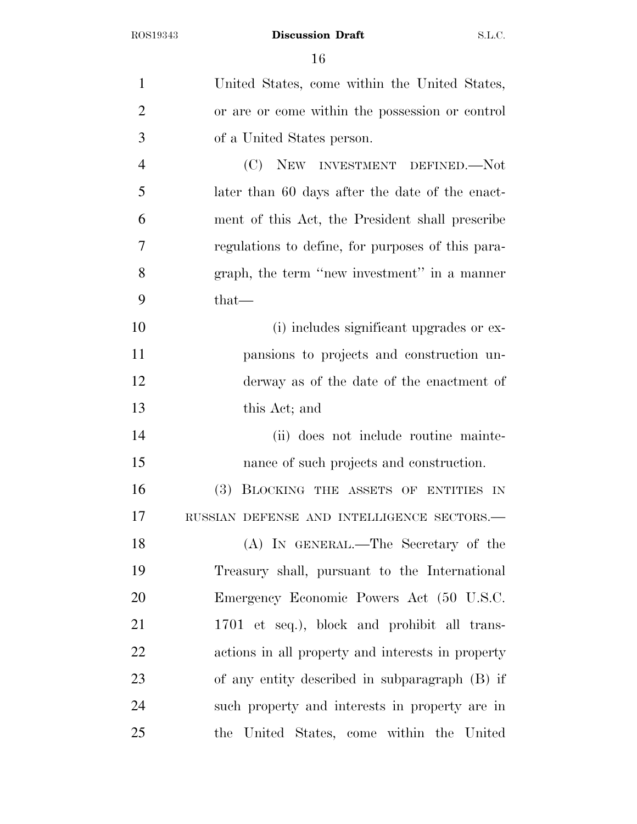| $\mathbf{1}$   | United States, come within the United States,     |
|----------------|---------------------------------------------------|
| $\overline{2}$ | or are or come within the possession or control   |
| 3              | of a United States person.                        |
| $\overline{4}$ | (C) NEW INVESTMENT DEFINED.—Not                   |
| 5              | later than 60 days after the date of the enact-   |
| 6              | ment of this Act, the President shall prescribe   |
| 7              | regulations to define, for purposes of this para- |
| 8              | graph, the term "new investment" in a manner      |
| 9              | $that-$                                           |
| 10             | (i) includes significant upgrades or ex-          |
| 11             | pansions to projects and construction un-         |
| 12             | derway as of the date of the enactment of         |
| 13             | this Act; and                                     |
| 14             | (ii) does not include routine mainte-             |
| 15             | nance of such projects and construction.          |
| 16             | (3) BLOCKING THE ASSETS OF ENTITIES IN            |
| 17             | RUSSIAN DEFENSE AND INTELLIGENCE SECTORS.-        |
| 18             | (A) IN GENERAL.—The Secretary of the              |
| 19             | Treasury shall, pursuant to the International     |
| 20             | Emergency Economic Powers Act (50 U.S.C.          |
| 21             | 1701 et seq.), block and prohibit all trans-      |
| 22             | actions in all property and interests in property |
| 23             | of any entity described in subparagraph (B) if    |
| 24             | such property and interests in property are in    |
| 25             | the United States, come within the United         |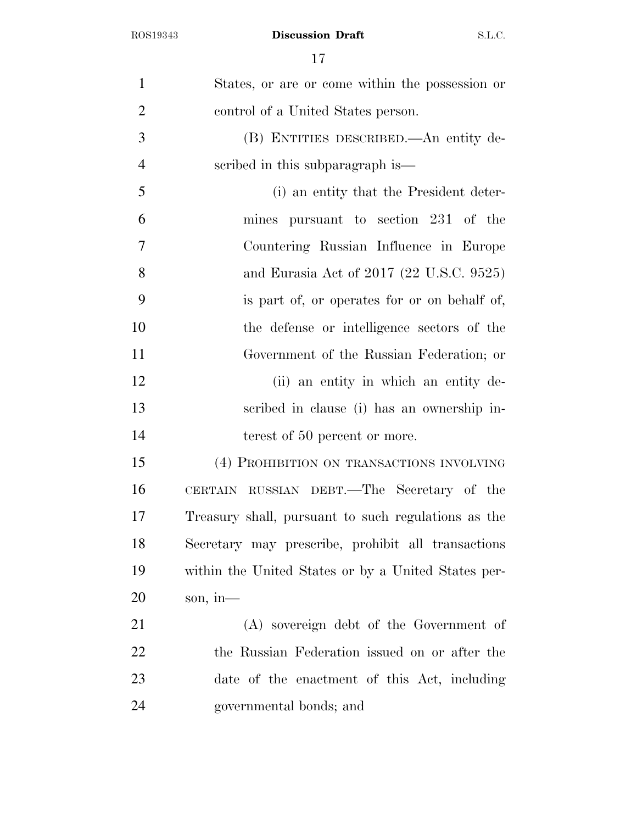| $\mathbf{1}$   | States, or are or come within the possession or     |
|----------------|-----------------------------------------------------|
| $\overline{2}$ | control of a United States person.                  |
| 3              | (B) ENTITIES DESCRIBED.—An entity de-               |
| $\overline{4}$ | scribed in this subparagraph is—                    |
| 5              | (i) an entity that the President deter-             |
| 6              | mines pursuant to section 231 of the                |
| $\tau$         | Countering Russian Influence in Europe              |
| 8              | and Eurasia Act of 2017 (22 U.S.C. 9525)            |
| 9              | is part of, or operates for or on behalf of,        |
| 10             | the defense or intelligence sectors of the          |
| 11             | Government of the Russian Federation; or            |
| 12             | (ii) an entity in which an entity de-               |
| 13             | scribed in clause (i) has an ownership in-          |
| 14             | terest of 50 percent or more.                       |
| 15             | (4) PROHIBITION ON TRANSACTIONS INVOLVING           |
| 16             | CERTAIN RUSSIAN DEBT.—The Secretary of the          |
| 17             | Treasury shall, pursuant to such regulations as the |
| 18             | Secretary may prescribe, prohibit all transactions  |
| 19             | within the United States or by a United States per- |
| 20             | son, in-                                            |
| 21             | (A) sovereign debt of the Government of             |
| 22             | the Russian Federation issued on or after the       |
| 23             | date of the enactment of this Act, including        |
| 24             | governmental bonds; and                             |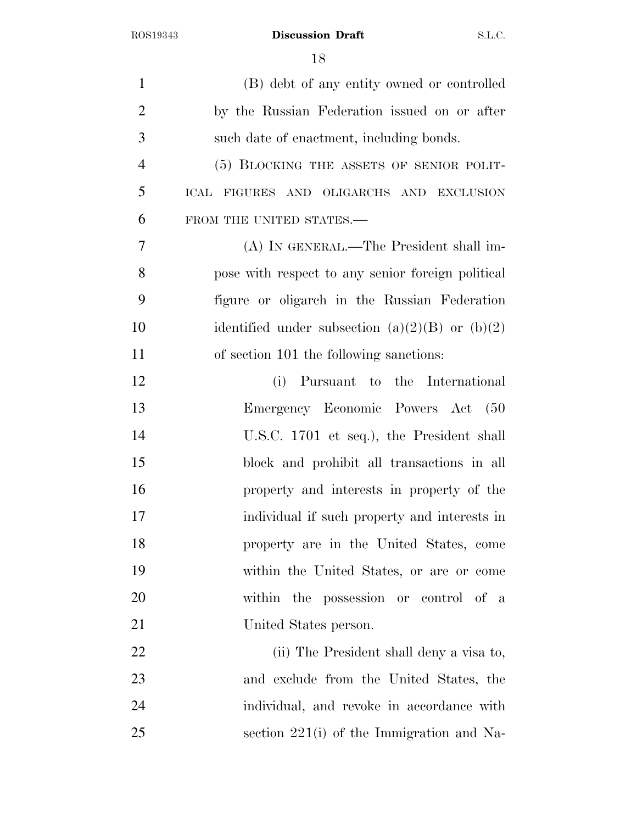| $\mathbf{1}$   | (B) debt of any entity owned or controlled            |
|----------------|-------------------------------------------------------|
| $\overline{2}$ | by the Russian Federation issued on or after          |
| 3              | such date of enactment, including bonds.              |
| $\overline{4}$ | (5) BLOCKING THE ASSETS OF SENIOR POLIT-              |
| 5              | ICAL FIGURES AND OLIGARCHS AND EXCLUSION              |
| 6              | FROM THE UNITED STATES.-                              |
| 7              | (A) IN GENERAL.—The President shall im-               |
| 8              | pose with respect to any senior foreign political     |
| 9              | figure or oligarch in the Russian Federation          |
| 10             | identified under subsection (a) $(2)(B)$ or (b) $(2)$ |
| 11             | of section 101 the following sanctions:               |
| 12             | (i)<br>Pursuant to the International                  |
| 13             | Emergency Economic Powers Act (50                     |
| 14             | U.S.C. 1701 et seq.), the President shall             |
| 15             | block and prohibit all transactions in all            |
| 16             | property and interests in property of the             |
| 17             | individual if such property and interests in          |
| 18             | property are in the United States, come               |
| 19             | within the United States, or are or come              |
| 20             | within the possession or control of a                 |
| 21             | United States person.                                 |
| 22             | (ii) The President shall deny a visa to,              |
| 23             | and exclude from the United States, the               |
| 24             | individual, and revoke in accordance with             |
| 25             | section $221(i)$ of the Immigration and Na-           |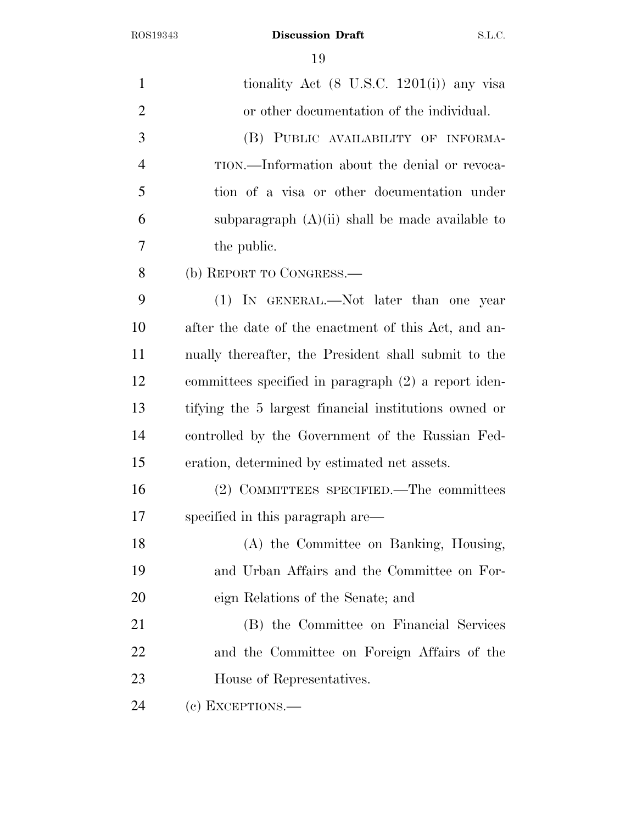| $\mathbf{1}$   | tionality Act $(8 \text{ U.S.C. } 1201(i))$ any visa  |
|----------------|-------------------------------------------------------|
| $\overline{2}$ | or other documentation of the individual.             |
| 3              | (B) PUBLIC AVAILABILITY OF INFORMA-                   |
| $\overline{4}$ | TION.—Information about the denial or revoca-         |
| 5              | tion of a visa or other documentation under           |
| 6              | subparagraph $(A)(ii)$ shall be made available to     |
| 7              | the public.                                           |
| 8              | (b) REPORT TO CONGRESS.                               |
| 9              | (1) IN GENERAL.—Not later than one year               |
| 10             | after the date of the enactment of this Act, and an-  |
| 11             | nually thereafter, the President shall submit to the  |
| 12             | committees specified in paragraph (2) a report iden-  |
| 13             | tifying the 5 largest financial institutions owned or |
| 14             | controlled by the Government of the Russian Fed-      |
| 15             | eration, determined by estimated net assets.          |
| 16             | (2) COMMITTEES SPECIFIED.—The committees              |
| 17             | specified in this paragraph are—                      |
| 18             | (A) the Committee on Banking, Housing,                |
| 19             | and Urban Affairs and the Committee on For-           |
| 20             | eign Relations of the Senate; and                     |
| 21             | (B) the Committee on Financial Services               |
| 22             | and the Committee on Foreign Affairs of the           |
| 23             | House of Representatives.                             |
| 24             | (c) EXCEPTIONS.—                                      |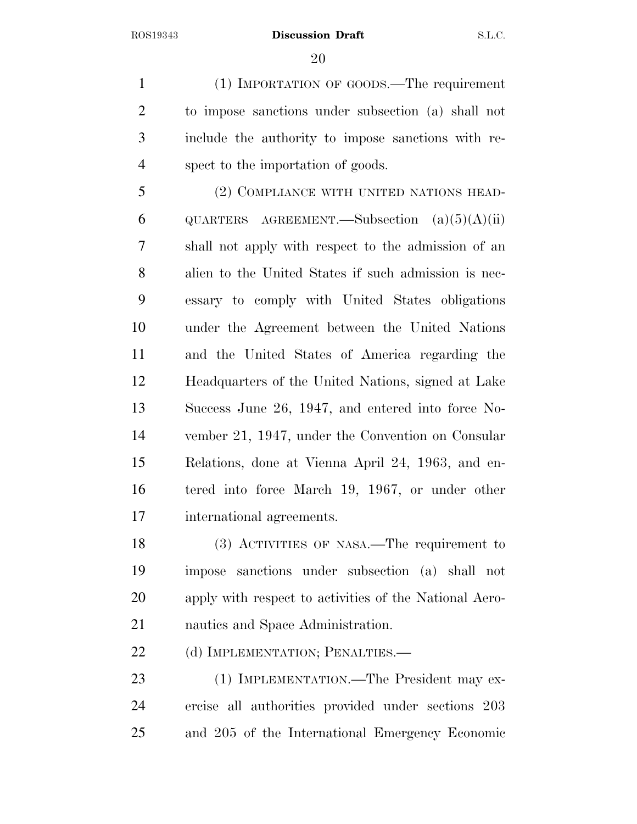(1) IMPORTATION OF GOODS.—The requirement to impose sanctions under subsection (a) shall not include the authority to impose sanctions with re-spect to the importation of goods.

 (2) COMPLIANCE WITH UNITED NATIONS HEAD-6 QUARTERS AGREEMENT.—Subsection  $(a)(5)(A)(ii)$  shall not apply with respect to the admission of an alien to the United States if such admission is nec- essary to comply with United States obligations under the Agreement between the United Nations and the United States of America regarding the Headquarters of the United Nations, signed at Lake Success June 26, 1947, and entered into force No- vember 21, 1947, under the Convention on Consular Relations, done at Vienna April 24, 1963, and en- tered into force March 19, 1967, or under other international agreements.

 (3) ACTIVITIES OF NASA.—The requirement to impose sanctions under subsection (a) shall not apply with respect to activities of the National Aero-nautics and Space Administration.

22 (d) IMPLEMENTATION; PENALTIES.—

23 (1) IMPLEMENTATION.—The President may ex- ercise all authorities provided under sections 203 and 205 of the International Emergency Economic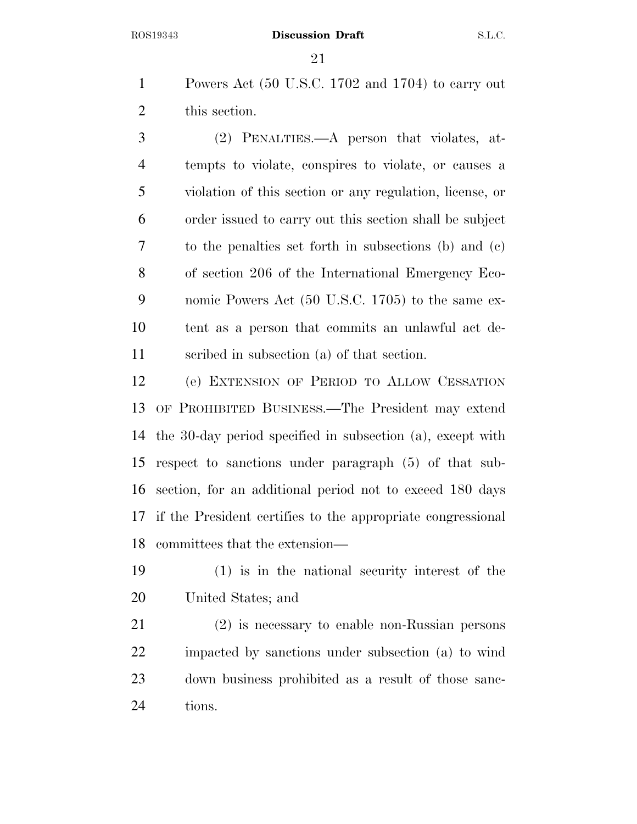Powers Act (50 U.S.C. 1702 and 1704) to carry out this section.

 (2) PENALTIES.—A person that violates, at- tempts to violate, conspires to violate, or causes a violation of this section or any regulation, license, or order issued to carry out this section shall be subject to the penalties set forth in subsections (b) and (c) of section 206 of the International Emergency Eco- nomic Powers Act (50 U.S.C. 1705) to the same ex- tent as a person that commits an unlawful act de-scribed in subsection (a) of that section.

 (e) EXTENSION OF PERIOD TO ALLOW CESSATION OF PROHIBITED BUSINESS.—The President may extend the 30-day period specified in subsection (a), except with respect to sanctions under paragraph (5) of that sub- section, for an additional period not to exceed 180 days if the President certifies to the appropriate congressional committees that the extension—

 (1) is in the national security interest of the United States; and

 (2) is necessary to enable non-Russian persons impacted by sanctions under subsection (a) to wind down business prohibited as a result of those sanc-tions.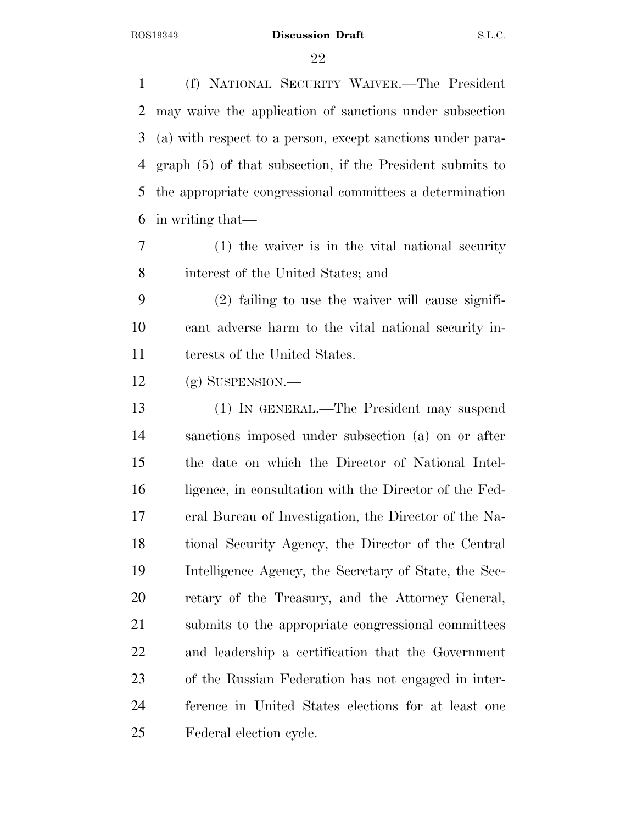(f) NATIONAL SECURITY WAIVER.—The President may waive the application of sanctions under subsection (a) with respect to a person, except sanctions under para- graph (5) of that subsection, if the President submits to the appropriate congressional committees a determination in writing that—

 (1) the waiver is in the vital national security interest of the United States; and

 (2) failing to use the waiver will cause signifi- cant adverse harm to the vital national security in-terests of the United States.

(g) SUSPENSION.—

 (1) IN GENERAL.—The President may suspend sanctions imposed under subsection (a) on or after the date on which the Director of National Intel-16 ligence, in consultation with the Director of the Fed- eral Bureau of Investigation, the Director of the Na- tional Security Agency, the Director of the Central Intelligence Agency, the Secretary of State, the Sec- retary of the Treasury, and the Attorney General, submits to the appropriate congressional committees and leadership a certification that the Government of the Russian Federation has not engaged in inter- ference in United States elections for at least one Federal election cycle.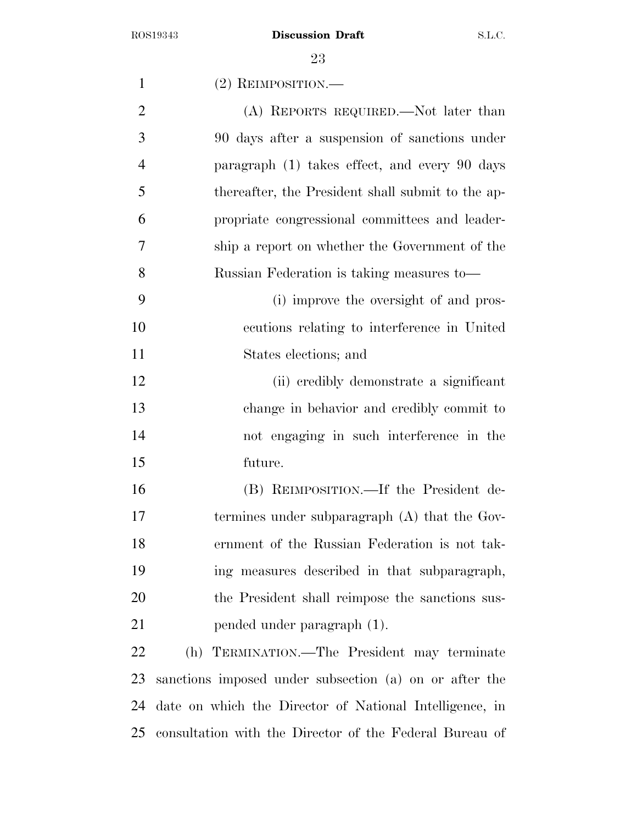| $\mathbf{1}$   | (2) REIMPOSITION.                                       |
|----------------|---------------------------------------------------------|
| $\overline{2}$ | (A) REPORTS REQUIRED.—Not later than                    |
| 3              | 90 days after a suspension of sanctions under           |
| $\overline{4}$ | paragraph (1) takes effect, and every 90 days           |
| 5              | thereafter, the President shall submit to the ap-       |
| 6              | propriate congressional committees and leader-          |
| 7              | ship a report on whether the Government of the          |
| 8              | Russian Federation is taking measures to-               |
| 9              | (i) improve the oversight of and pros-                  |
| 10             | ecutions relating to interference in United             |
| 11             | States elections; and                                   |
| 12             | (ii) credibly demonstrate a significant                 |
| 13             | change in behavior and credibly commit to               |
| 14             | not engaging in such interference in the                |
| 15             | future.                                                 |
| 16             | (B) REIMPOSITION.—If the President de-                  |
| 17             | termines under subparagraph (A) that the Gov-           |
| 18             | ernment of the Russian Federation is not tak-           |
| 19             | ing measures described in that subparagraph,            |
| 20             | the President shall reimpose the sanctions sus-         |
| 21             | pended under paragraph (1).                             |
| 22             | (h) TERMINATION.—The President may terminate            |
| 23             | sanctions imposed under subsection (a) on or after the  |
| 24             | date on which the Director of National Intelligence, in |

consultation with the Director of the Federal Bureau of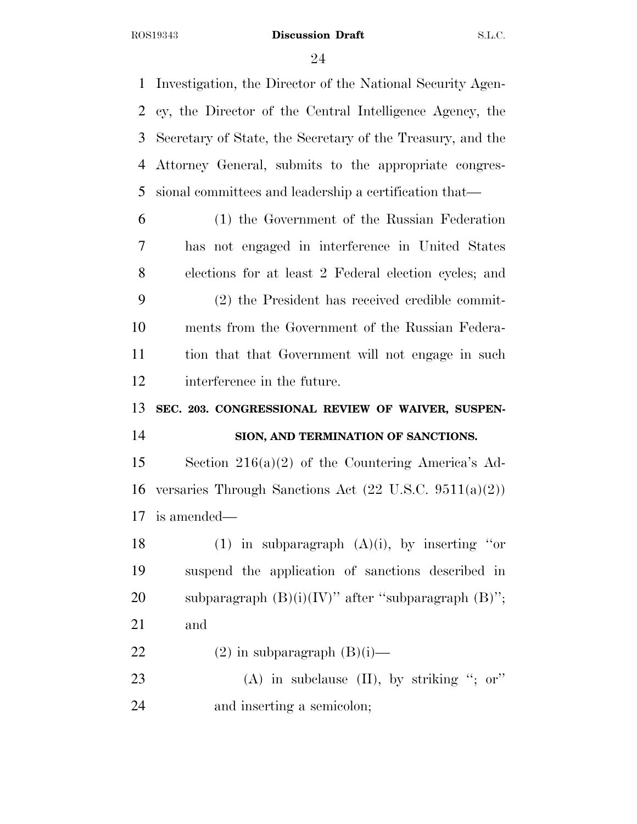Investigation, the Director of the National Security Agen- cy, the Director of the Central Intelligence Agency, the Secretary of State, the Secretary of the Treasury, and the Attorney General, submits to the appropriate congres- sional committees and leadership a certification that— (1) the Government of the Russian Federation has not engaged in interference in United States elections for at least 2 Federal election cycles; and (2) the President has received credible commit- ments from the Government of the Russian Federa- tion that that Government will not engage in such interference in the future. **SEC. 203. CONGRESSIONAL REVIEW OF WAIVER, SUSPEN- SION, AND TERMINATION OF SANCTIONS.**  Section 216(a)(2) of the Countering America's Ad- versaries Through Sanctions Act (22 U.S.C. 9511(a)(2)) is amended— 18 (1) in subparagraph  $(A)(i)$ , by inserting "or suspend the application of sanctions described in 20 subparagraph  $(B)(i)(IV)$ " after "subparagraph  $(B)$ "; and 22 (2) in subparagraph  $(B)(i)$ — 23 (A) in subclause (II), by striking "; or" and inserting a semicolon;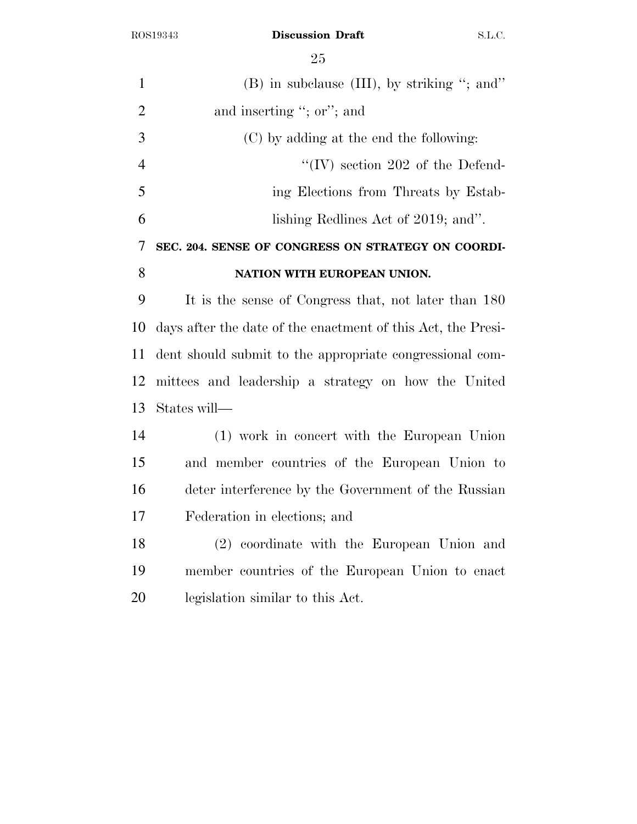$\Omega$   $\sim$ 

|                | 25                                                           |
|----------------|--------------------------------------------------------------|
| $\mathbf{1}$   | $(B)$ in subclause $(III)$ , by striking "; and"             |
| $\overline{2}$ | and inserting "; or"; and                                    |
| 3              | (C) by adding at the end the following:                      |
| $\overline{4}$ | "(IV) section $202$ of the Defend-                           |
| 5              | ing Elections from Threats by Estab-                         |
| 6              | lishing Redlines Act of 2019; and".                          |
| 7              | SEC. 204. SENSE OF CONGRESS ON STRATEGY ON COORDI-           |
| 8              | NATION WITH EUROPEAN UNION.                                  |
| 9              | It is the sense of Congress that, not later than 180         |
| 10             | days after the date of the enactment of this Act, the Presi- |
| 11             | dent should submit to the appropriate congressional com-     |
| 12             | mittees and leadership a strategy on how the United          |
| 13             | States will—                                                 |
| 14             | (1) work in concert with the European Union                  |
| 15             | and member countries of the European Union to                |
| 16             | deter interference by the Government of the Russian          |
| 17             | Federation in elections; and                                 |
| 18             | (2) coordinate with the European Union and                   |
| 19             | member countries of the European Union to enact              |
| 20             | legislation similar to this Act.                             |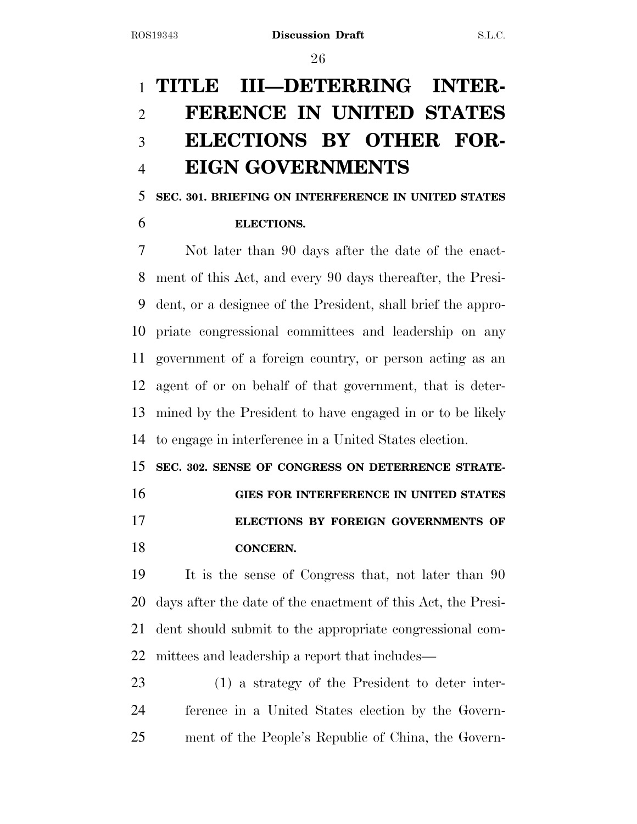## **TITLE III—DETERRING INTER- FERENCE IN UNITED STATES ELECTIONS BY OTHER FOR-EIGN GOVERNMENTS**

## **SEC. 301. BRIEFING ON INTERFERENCE IN UNITED STATES**

### **ELECTIONS.**

 Not later than 90 days after the date of the enact- ment of this Act, and every 90 days thereafter, the Presi- dent, or a designee of the President, shall brief the appro- priate congressional committees and leadership on any government of a foreign country, or person acting as an agent of or on behalf of that government, that is deter- mined by the President to have engaged in or to be likely to engage in interference in a United States election.

 **SEC. 302. SENSE OF CONGRESS ON DETERRENCE STRATE- GIES FOR INTERFERENCE IN UNITED STATES ELECTIONS BY FOREIGN GOVERNMENTS OF** 

**CONCERN.** 

 It is the sense of Congress that, not later than 90 days after the date of the enactment of this Act, the Presi- dent should submit to the appropriate congressional com-mittees and leadership a report that includes—

 (1) a strategy of the President to deter inter- ference in a United States election by the Govern-ment of the People's Republic of China, the Govern-